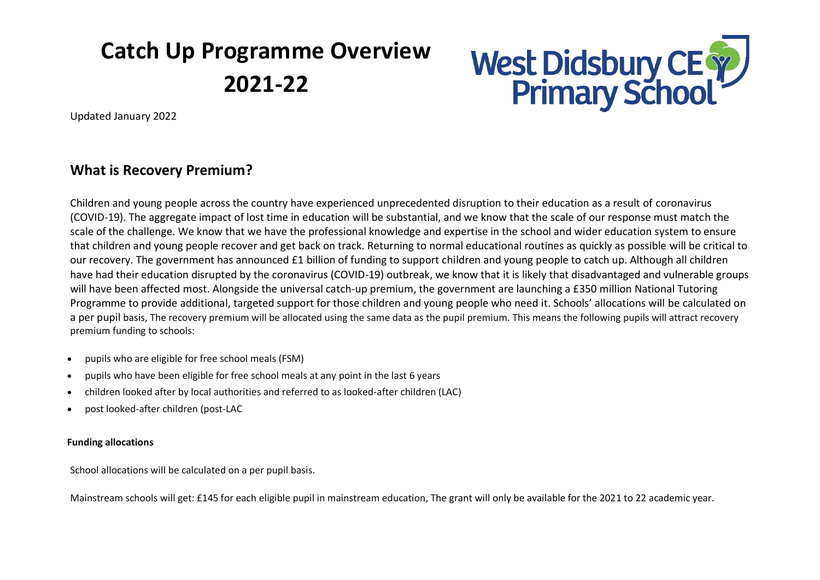# **Catch Up Programme Overview 2021-22**



Updated January 2022

# **What is Recovery Premium?**

Children and young people across the country have experienced unprecedented disruption to their education as a result of coronavirus (COVID-19). The aggregate impact of lost time in education will be substantial, and we know that the scale of our response must match the scale of the challenge. We know that we have the professional knowledge and expertise in the school and wider education system to ensure that children and young people recover and get back on track. Returning to normal educational routines as quickly as possible will be critical to our recovery. The government has announced £1 billion of funding to support children and young people to catch up. Although all children have had their education disrupted by the coronavirus (COVID-19) outbreak, we know that it is likely that disadvantaged and vulnerable groups will have been affected most. Alongside the universal catch-up premium, the government are launching a £350 million National Tutoring Programme to provide additional, targeted support for those children and young people who need it. Schools' allocations will be calculated on a per pupil basis, The recovery premium will be allocated using the same data as the pupil premium. This means the following pupils will attract recovery premium funding to schools:

- pupils who are eligible for free school meals (FSM)
- pupils who have been eligible for free school meals at any point in the last 6 years
- children looked after by local authorities and referred to as looked-after children (LAC)
- post looked-after children (post-LAC

## **Funding allocations**

School allocations will be calculated on a per pupil basis.

Mainstream schools will get: £145 for each eligible pupil in mainstream education, The grant will only be available for the 2021 to 22 academic year.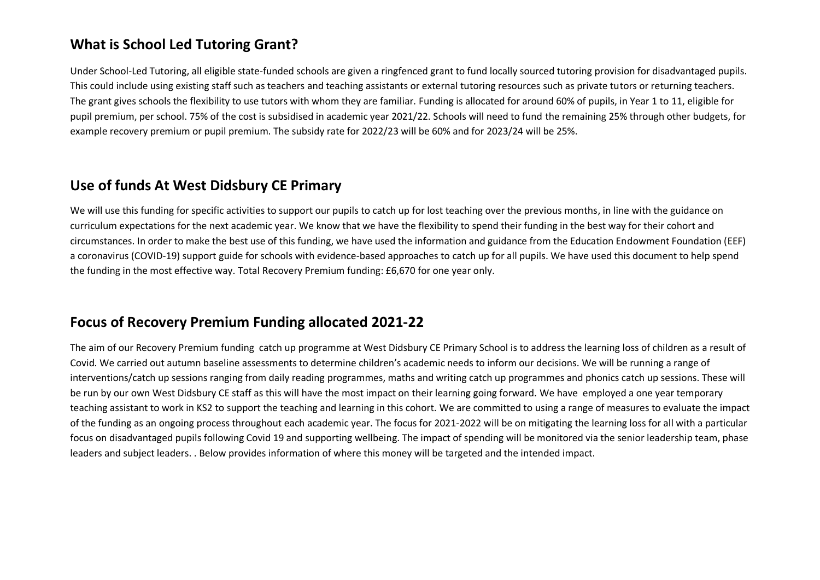# **What is School Led Tutoring Grant?**

Under School-Led Tutoring, all eligible state-funded schools are given a ringfenced grant to fund locally sourced tutoring provision for disadvantaged pupils. This could include using existing staff such as teachers and teaching assistants or external tutoring resources such as private tutors or returning teachers. The grant gives schools the flexibility to use tutors with whom they are familiar. Funding is allocated for around 60% of pupils, in Year 1 to 11, eligible for pupil premium, per school. 75% of the cost is subsidised in academic year 2021/22. Schools will need to fund the remaining 25% through other budgets, for example recovery premium or pupil premium. The subsidy rate for 2022/23 will be 60% and for 2023/24 will be 25%.

## **Use of funds At West Didsbury CE Primary**

We will use this funding for specific activities to support our pupils to catch up for lost teaching over the previous months, in line with the guidance on curriculum expectations for the next academic year. We know that we have the flexibility to spend their funding in the best way for their cohort and circumstances. In order to make the best use of this funding, we have used the information and guidance from the Education Endowment Foundation (EEF) a coronavirus (COVID-19) support guide for schools with evidence-based approaches to catch up for all pupils. We have used this document to help spend the funding in the most effective way. Total Recovery Premium funding: £6,670 for one year only.

# **Focus of Recovery Premium Funding allocated 2021-22**

The aim of our Recovery Premium funding catch up programme at West Didsbury CE Primary School is to address the learning loss of children as a result of Covid. We carried out autumn baseline assessments to determine children's academic needs to inform our decisions. We will be running a range of interventions/catch up sessions ranging from daily reading programmes, maths and writing catch up programmes and phonics catch up sessions. These will be run by our own West Didsbury CE staff as this will have the most impact on their learning going forward. We have employed a one year temporary teaching assistant to work in KS2 to support the teaching and learning in this cohort. We are committed to using a range of measures to evaluate the impact of the funding as an ongoing process throughout each academic year. The focus for 2021-2022 will be on mitigating the learning loss for all with a particular focus on disadvantaged pupils following Covid 19 and supporting wellbeing. The impact of spending will be monitored via the senior leadership team, phase leaders and subject leaders. . Below provides information of where this money will be targeted and the intended impact.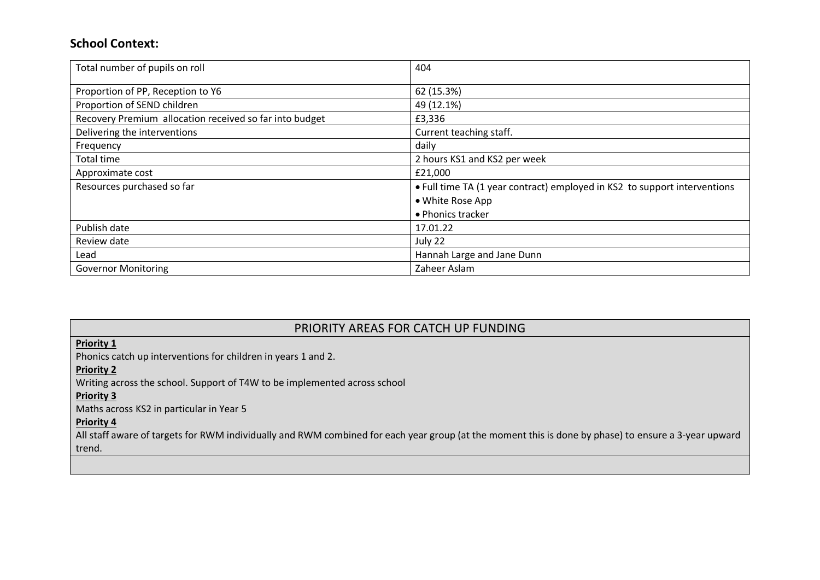## **School Context:**

| Total number of pupils on roll                          | 404                                                                       |  |  |
|---------------------------------------------------------|---------------------------------------------------------------------------|--|--|
| Proportion of PP, Reception to Y6                       | 62 (15.3%)                                                                |  |  |
| Proportion of SEND children                             | 49 (12.1%)                                                                |  |  |
| Recovery Premium allocation received so far into budget | £3,336                                                                    |  |  |
| Delivering the interventions                            | Current teaching staff.                                                   |  |  |
| Frequency                                               | daily                                                                     |  |  |
| <b>Total time</b>                                       | 2 hours KS1 and KS2 per week                                              |  |  |
| Approximate cost                                        | £21,000                                                                   |  |  |
| Resources purchased so far                              | • Full time TA (1 year contract) employed in KS2 to support interventions |  |  |
|                                                         | • White Rose App                                                          |  |  |
|                                                         | • Phonics tracker                                                         |  |  |
| Publish date                                            | 17.01.22                                                                  |  |  |
| Review date                                             | July 22                                                                   |  |  |
| Lead                                                    | Hannah Large and Jane Dunn                                                |  |  |
| <b>Governor Monitoring</b>                              | Zaheer Aslam                                                              |  |  |

## PRIORITY AREAS FOR CATCH UP FUNDING

### **Priority 1**

Phonics catch up interventions for children in years 1 and 2.

#### **Priority 2**

Writing across the school. Support of T4W to be implemented across school

#### **Priority 3**

Maths across KS2 in particular in Year 5

#### **Priority 4**

All staff aware of targets for RWM individually and RWM combined for each year group (at the moment this is done by phase) to ensure a 3-year upward trend.